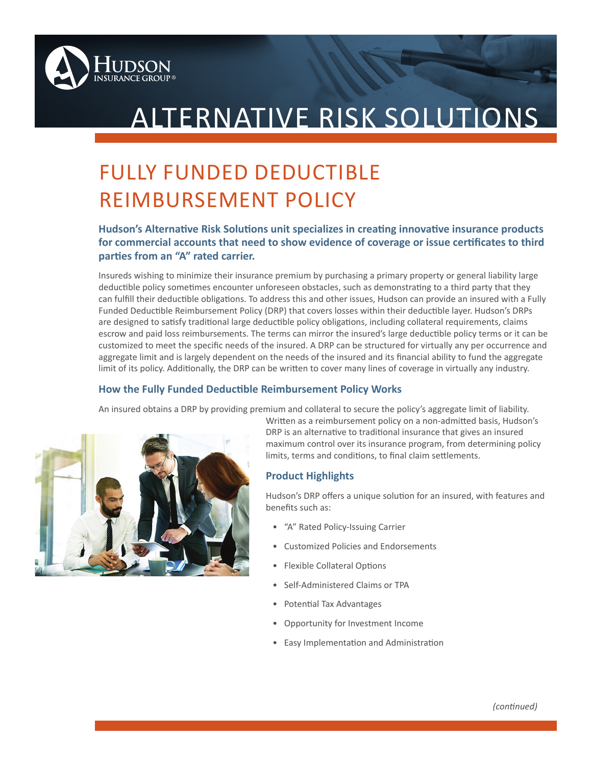

# ALTERNATIVE RISK SOLUTIONS

# FULLY FUNDED DEDUCTIBLE REIMBURSEMENT POLICY

# **Hudson's Alternative Risk Solutions unit specializes in creating innovative insurance products for commercial accounts that need to show evidence of coverage or issue certificates to third parties from an "A" rated carrier.**

Insureds wishing to minimize their insurance premium by purchasing a primary property or general liability large deductible policy sometimes encounter unforeseen obstacles, such as demonstrating to a third party that they can fulfill their deductible obligations. To address this and other issues, Hudson can provide an insured with a Fully Funded Deductible Reimbursement Policy (DRP) that covers losses within their deductible layer. Hudson's DRPs are designed to satisfy traditional large deductible policy obligations, including collateral requirements, claims escrow and paid loss reimbursements. The terms can mirror the insured's large deductible policy terms or it can be customized to meet the specific needs of the insured. A DRP can be structured for virtually any per occurrence and aggregate limit and is largely dependent on the needs of the insured and its financial ability to fund the aggregate limit of its policy. Additionally, the DRP can be written to cover many lines of coverage in virtually any industry.

### **How the Fully Funded Deductible Reimbursement Policy Works**

An insured obtains a DRP by providing premium and collateral to secure the policy's aggregate limit of liability.



Written as a reimbursement policy on a non-admitted basis, Hudson's DRP is an alternative to traditional insurance that gives an insured maximum control over its insurance program, from determining policy limits, terms and conditions, to final claim settlements.

## **Product Highlights**

Hudson's DRP offers a unique solution for an insured, with features and benefits such as:

- "A" Rated Policy-Issuing Carrier
- Customized Policies and Endorsements
- Flexible Collateral Options
- Self-Administered Claims or TPA
- Potential Tax Advantages
- Opportunity for Investment Income
- Easy Implementation and Administration